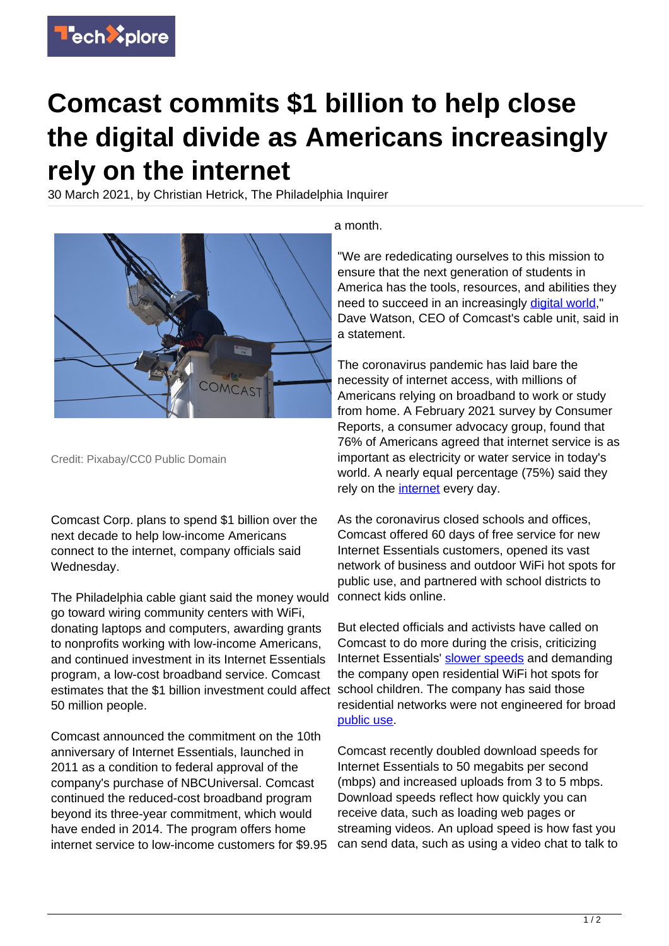

## **Comcast commits \$1 billion to help close the digital divide as Americans increasingly rely on the internet**

30 March 2021, by Christian Hetrick, The Philadelphia Inquirer



Credit: Pixabay/CC0 Public Domain

Comcast Corp. plans to spend \$1 billion over the next decade to help low-income Americans connect to the internet, company officials said Wednesday.

The Philadelphia cable giant said the money would go toward wiring community centers with WiFi, donating laptops and computers, awarding grants to nonprofits working with low-income Americans, and continued investment in its Internet Essentials program, a low-cost broadband service. Comcast estimates that the \$1 billion investment could affect 50 million people.

Comcast announced the commitment on the 10th anniversary of Internet Essentials, launched in 2011 as a condition to federal approval of the company's purchase of NBCUniversal. Comcast continued the reduced-cost broadband program beyond its three-year commitment, which would have ended in 2014. The program offers home internet service to low-income customers for \$9.95

a month.

"We are rededicating ourselves to this mission to ensure that the next generation of students in America has the tools, resources, and abilities they need to succeed in an increasingly [digital world](https://techxplore.com/tags/digital+world/)," Dave Watson, CEO of Comcast's cable unit, said in a statement.

The coronavirus pandemic has laid bare the necessity of internet access, with millions of Americans relying on broadband to work or study from home. A February 2021 survey by Consumer Reports, a consumer advocacy group, found that 76% of Americans agreed that internet service is as important as electricity or water service in today's world. A nearly equal percentage (75%) said they rely on the [internet](https://techxplore.com/tags/internet/) every day.

As the coronavirus closed schools and offices, Comcast offered 60 days of free service for new Internet Essentials customers, opened its vast network of business and outdoor WiFi hot spots for public use, and partnered with school districts to connect kids online.

But elected officials and activists have called on Comcast to do more during the crisis, criticizing Internet Essentials' [slower speeds](https://techxplore.com/tags/slower+speeds/) and demanding the company open residential WiFi hot spots for school children. The company has said those residential networks were not engineered for broad [public use.](https://techxplore.com/tags/public+use/)

Comcast recently doubled download speeds for Internet Essentials to 50 megabits per second (mbps) and increased uploads from 3 to 5 mbps. Download speeds reflect how quickly you can receive data, such as loading web pages or streaming videos. An upload speed is how fast you can send data, such as using a video chat to talk to